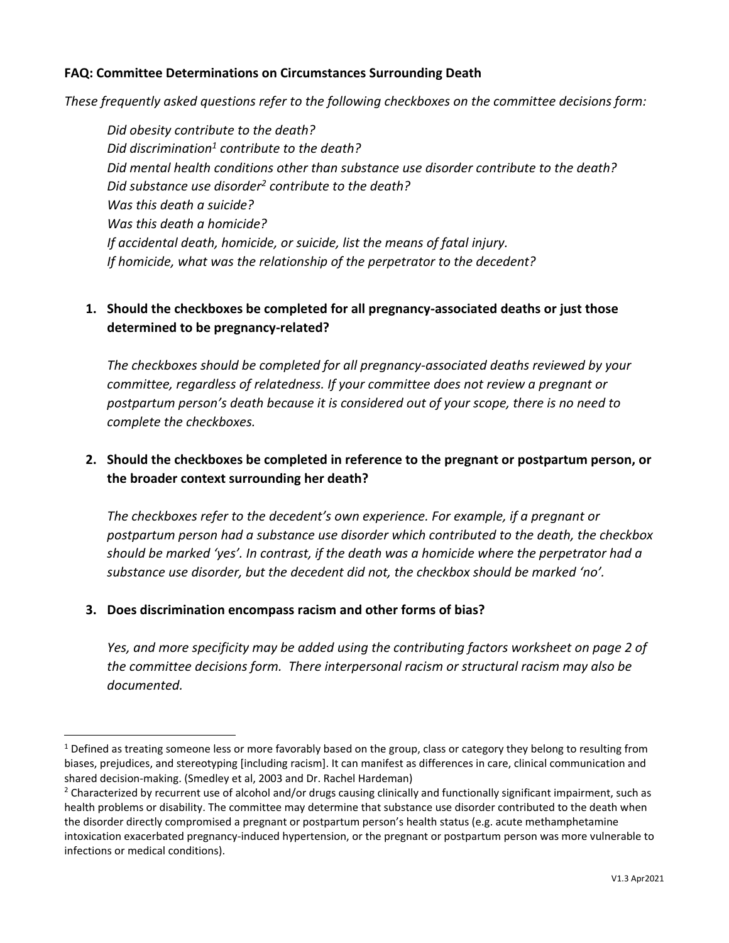#### **FAQ: Committee Determinations on Circumstances Surrounding Death**

*These frequently asked questions refer to the following checkboxes on the committee decisions form:*

*Did obesity contribute to the death? Did discrimination<sup>1</sup> contribute to the death? Did mental health conditions other than substance use disorder contribute to the death? Did substance use disorder<sup>2</sup> contribute to the death? Was this death a suicide? Was this death a homicide? If accidental death, homicide, or suicide, list the means of fatal injury. If homicide, what was the relationship of the perpetrator to the decedent?*

# **1. Should the checkboxes be completed for all pregnancy-associated deaths or just those determined to be pregnancy-related?**

*The checkboxes should be completed for all pregnancy-associated deaths reviewed by your committee, regardless of relatedness. If your committee does not review a pregnant or postpartum person's death because it is considered out of your scope, there is no need to complete the checkboxes.*

# **2. Should the checkboxes be completed in reference to the pregnant or postpartum person, or the broader context surrounding her death?**

*The checkboxes refer to the decedent's own experience. For example, if a pregnant or postpartum person had a substance use disorder which contributed to the death, the checkbox should be marked 'yes'. In contrast, if the death was a homicide where the perpetrator had a substance use disorder, but the decedent did not, the checkbox should be marked 'no'.*

#### **3. Does discrimination encompass racism and other forms of bias?**

*Yes, and more specificity may be added using the contributing factors worksheet on page 2 of the committee decisions form. There interpersonal racism or structural racism may also be documented.*

 $1$  Defined as treating someone less or more favorably based on the group, class or category they belong to resulting from biases, prejudices, and stereotyping [including racism]. It can manifest as differences in care, clinical communication and shared decision-making. (Smedley et al, 2003 and Dr. Rachel Hardeman)

 $2$  Characterized by recurrent use of alcohol and/or drugs causing clinically and functionally significant impairment, such as health problems or disability. The committee may determine that substance use disorder contributed to the death when the disorder directly compromised a pregnant or postpartum person's health status (e.g. acute methamphetamine intoxication exacerbated pregnancy-induced hypertension, or the pregnant or postpartum person was more vulnerable to infections or medical conditions).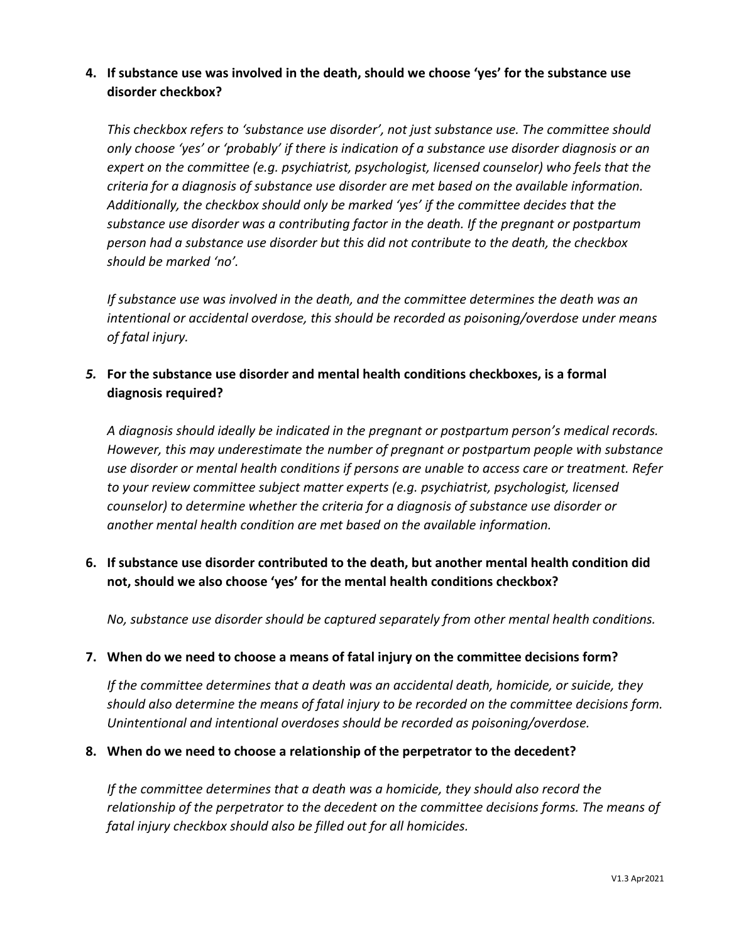### **4. If substance use was involved in the death, should we choose 'yes' for the substance use disorder checkbox?**

*This checkbox refers to 'substance use disorder', not just substance use. The committee should only choose 'yes' or 'probably' if there is indication of a substance use disorder diagnosis or an expert on the committee (e.g. psychiatrist, psychologist, licensed counselor) who feels that the criteria for a diagnosis of substance use disorder are met based on the available information. Additionally, the checkbox should only be marked 'yes' if the committee decides that the substance use disorder was a contributing factor in the death. If the pregnant or postpartum person had a substance use disorder but this did not contribute to the death, the checkbox should be marked 'no'.*

*If substance use was involved in the death, and the committee determines the death was an intentional or accidental overdose, this should be recorded as poisoning/overdose under means of fatal injury.*

# *5.* **For the substance use disorder and mental health conditions checkboxes, is a formal diagnosis required?**

*A diagnosis should ideally be indicated in the pregnant or postpartum person's medical records. However, this may underestimate the number of pregnant or postpartum people with substance use disorder or mental health conditions if persons are unable to access care or treatment. Refer to your review committee subject matter experts (e.g. psychiatrist, psychologist, licensed counselor) to determine whether the criteria for a diagnosis of substance use disorder or another mental health condition are met based on the available information.*

# **6. If substance use disorder contributed to the death, but another mental health condition did not, should we also choose 'yes' for the mental health conditions checkbox?**

*No, substance use disorder should be captured separately from other mental health conditions.*

#### **7. When do we need to choose a means of fatal injury on the committee decisions form?**

*If the committee determines that a death was an accidental death, homicide, or suicide, they should also determine the means of fatal injury to be recorded on the committee decisions form. Unintentional and intentional overdoses should be recorded as poisoning/overdose.* 

#### **8. When do we need to choose a relationship of the perpetrator to the decedent?**

*If the committee determines that a death was a homicide, they should also record the relationship of the perpetrator to the decedent on the committee decisions forms. The means of fatal injury checkbox should also be filled out for all homicides.*